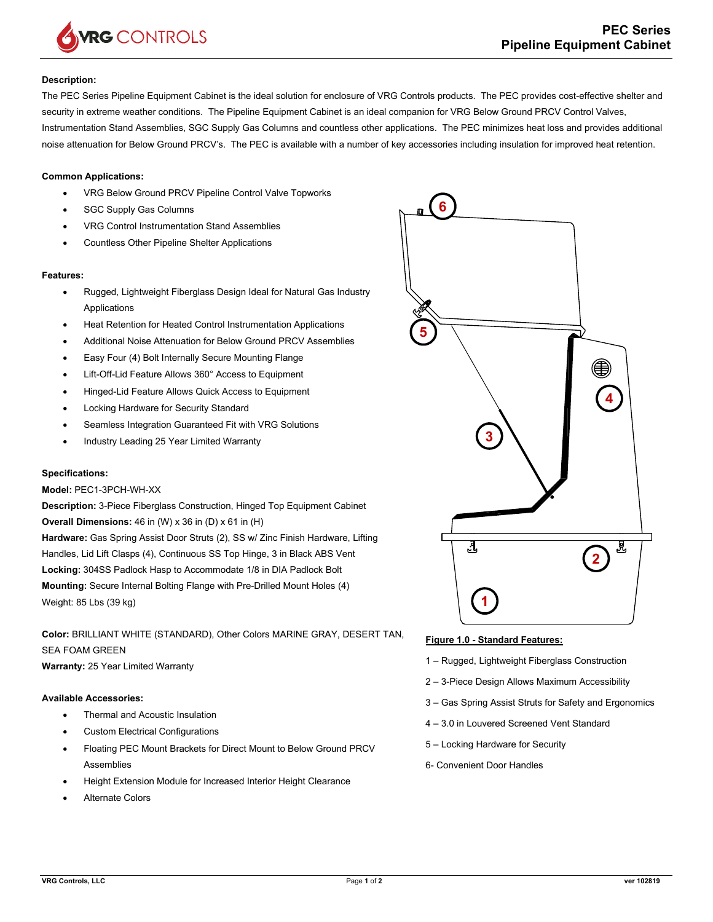

## **Description:**

The PEC Series Pipeline Equipment Cabinet is the ideal solution for enclosure of VRG Controls products. The PEC provides cost-effective shelter and security in extreme weather conditions. The Pipeline Equipment Cabinet is an ideal companion for VRG Below Ground PRCV Control Valves, Instrumentation Stand Assemblies, SGC Supply Gas Columns and countless other applications. The PEC minimizes heat loss and provides additional noise attenuation for Below Ground PRCV's. The PEC is available with a number of key accessories including insulation for improved heat retention.

## **Common Applications:**

- VRG Below Ground PRCV Pipeline Control Valve Topworks
- SGC Supply Gas Columns
- VRG Control Instrumentation Stand Assemblies
- Countless Other Pipeline Shelter Applications

#### **Features:**

- Rugged, Lightweight Fiberglass Design Ideal for Natural Gas Industry Applications
- Heat Retention for Heated Control Instrumentation Applications
- Additional Noise Attenuation for Below Ground PRCV Assemblies
- Easy Four (4) Bolt Internally Secure Mounting Flange
- Lift-Off-Lid Feature Allows 360° Access to Equipment
- Hinged-Lid Feature Allows Quick Access to Equipment
- Locking Hardware for Security Standard
- Seamless Integration Guaranteed Fit with VRG Solutions
- Industry Leading 25 Year Limited Warranty

### **Specifications:**

## **Model:** PEC1-3PCH-WH-XX

**Description:** 3-Piece Fiberglass Construction, Hinged Top Equipment Cabinet **Overall Dimensions:** 46 in (W) x 36 in (D) x 61 in (H) **Hardware:** Gas Spring Assist Door Struts (2), SS w/ Zinc Finish Hardware, Lifting Handles, Lid Lift Clasps (4), Continuous SS Top Hinge, 3 in Black ABS Vent **Locking:** 304SS Padlock Hasp to Accommodate 1/8 in DIA Padlock Bolt **Mounting:** Secure Internal Bolting Flange with Pre-Drilled Mount Holes (4)

Weight: 85 Lbs (39 kg)

**Color:** BRILLIANT WHITE (STANDARD), Other Colors MARINE GRAY, DESERT TAN, SEA FOAM GREEN

**Warranty:** 25 Year Limited Warranty

# **Available Accessories:**

- Thermal and Acoustic Insulation
- Custom Electrical Configurations
- Floating PEC Mount Brackets for Direct Mount to Below Ground PRCV Assemblies
- Height Extension Module for Increased Interior Height Clearance
- Alternate Colors



#### **Figure 1.0 - Standard Features:**

- 1 Rugged, Lightweight Fiberglass Construction
- 2 3-Piece Design Allows Maximum Accessibility
- 3 Gas Spring Assist Struts for Safety and Ergonomics
- 4 3.0 in Louvered Screened Vent Standard
- 5 Locking Hardware for Security
- 6- Convenient Door Handles